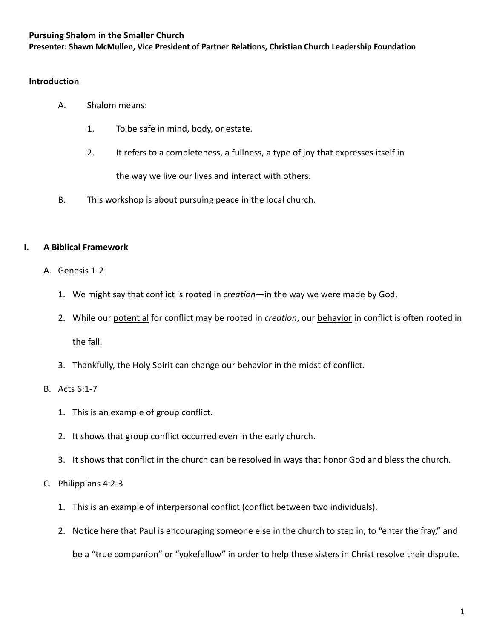### **Pursuing Shalom in the Smaller Church**

**Presenter: Shawn McMullen, Vice President of Partner Relations, Christian Church Leadership Foundation**

### **Introduction**

- A. Shalom means:
	- 1. To be safe in mind, body, or estate.
	- 2. It refers to a completeness, a fullness, a type of joy that expresses itself in the way we live our lives and interact with others.
- B. This workshop is about pursuing peace in the local church.

### **I. A Biblical Framework**

- A. Genesis 1-2
	- 1. We might say that conflict is rooted in *creation*—in the way we were made by God.
	- 2. While our potential for conflict may be rooted in *creation*, our behavior in conflict is often rooted in the fall.
	- 3. Thankfully, the Holy Spirit can change our behavior in the midst of conflict.

### B. Acts 6:1-7

- 1. This is an example of group conflict.
- 2. It shows that group conflict occurred even in the early church.
- 3. It shows that conflict in the church can be resolved in ways that honor God and bless the church.

### C. Philippians 4:2-3

- 1. This is an example of interpersonal conflict (conflict between two individuals).
- 2. Notice here that Paul is encouraging someone else in the church to step in, to "enter the fray," and be a "true companion" or "yokefellow" in order to help these sisters in Christ resolve their dispute.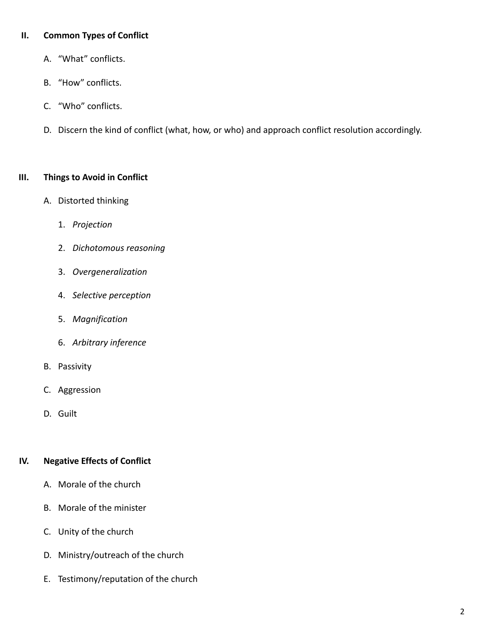## **II. Common Types of Conflict**

- A. "What" conflicts.
- B. "How" conflicts.
- C. "Who" conflicts.
- D. Discern the kind of conflict (what, how, or who) and approach conflict resolution accordingly.

### **III. Things to Avoid in Conflict**

- A. Distorted thinking
	- 1. *Projection*
	- 2. *Dichotomous reasoning*
	- 3. *Overgeneralization*
	- 4. *Selective perception*
	- 5. *Magnification*
	- 6. *Arbitrary inference*
- B. Passivity
- C. Aggression
- D. Guilt

## **IV. Negative Effects of Conflict**

- A. Morale of the church
- B. Morale of the minister
- C. Unity of the church
- D. Ministry/outreach of the church
- E. Testimony/reputation of the church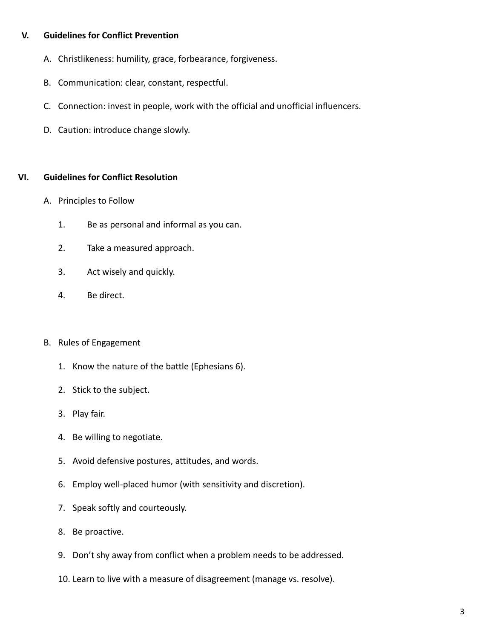# **V. Guidelines for Conflict Prevention**

- A. Christlikeness: humility, grace, forbearance, forgiveness.
- B. Communication: clear, constant, respectful.
- C. Connection: invest in people, work with the official and unofficial influencers.
- D. Caution: introduce change slowly.

## **VI. Guidelines for Conflict Resolution**

- A. Principles to Follow
	- 1. Be as personal and informal as you can.
	- 2. Take a measured approach.
	- 3. Act wisely and quickly.
	- 4. Be direct.

## B. Rules of Engagement

- 1. Know the nature of the battle (Ephesians 6).
- 2. Stick to the subject.
- 3. Play fair.
- 4. Be willing to negotiate.
- 5. Avoid defensive postures, attitudes, and words.
- 6. Employ well-placed humor (with sensitivity and discretion).
- 7. Speak softly and courteously.
- 8. Be proactive.
- 9. Don't shy away from conflict when a problem needs to be addressed.
- 10. Learn to live with a measure of disagreement (manage vs. resolve).